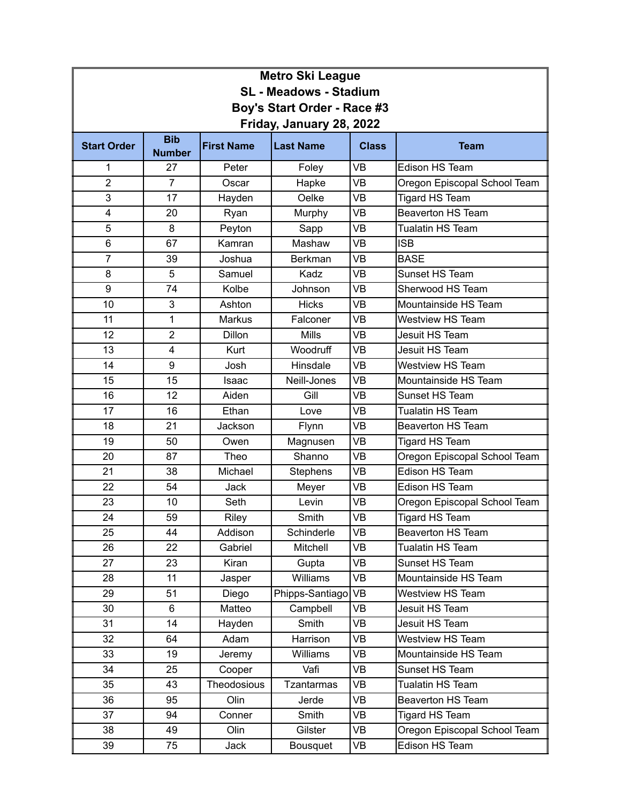| <b>Metro Ski League</b>       |                             |                   |                   |              |                              |  |  |
|-------------------------------|-----------------------------|-------------------|-------------------|--------------|------------------------------|--|--|
| <b>SL - Meadows - Stadium</b> |                             |                   |                   |              |                              |  |  |
| Boy's Start Order - Race #3   |                             |                   |                   |              |                              |  |  |
| Friday, January 28, 2022      |                             |                   |                   |              |                              |  |  |
| <b>Start Order</b>            | <b>Bib</b><br><b>Number</b> | <b>First Name</b> | <b>Last Name</b>  | <b>Class</b> | <b>Team</b>                  |  |  |
| 1                             | 27                          | Peter             | Foley             | <b>VB</b>    | Edison HS Team               |  |  |
| $\overline{2}$                | $\overline{7}$              | Oscar             | Hapke             | <b>VB</b>    | Oregon Episcopal School Team |  |  |
| 3                             | 17                          | Hayden            | Oelke             | <b>VB</b>    | <b>Tigard HS Team</b>        |  |  |
| 4                             | 20                          | Ryan              | Murphy            | <b>VB</b>    | Beaverton HS Team            |  |  |
| 5                             | 8                           | Peyton            | Sapp              | <b>VB</b>    | Tualatin HS Team             |  |  |
| 6                             | 67                          | Kamran            | Mashaw            | <b>VB</b>    | <b>ISB</b>                   |  |  |
| 7                             | 39                          | Joshua            | Berkman           | <b>VB</b>    | <b>BASE</b>                  |  |  |
| 8                             | 5                           | Samuel            | Kadz              | <b>VB</b>    | Sunset HS Team               |  |  |
| 9                             | 74                          | Kolbe             | Johnson           | <b>VB</b>    | Sherwood HS Team             |  |  |
| 10                            | 3                           | Ashton            | <b>Hicks</b>      | <b>VB</b>    | Mountainside HS Team         |  |  |
| 11                            | 1                           | <b>Markus</b>     | Falconer          | <b>VB</b>    | Westview HS Team             |  |  |
| 12                            | $\overline{2}$              | <b>Dillon</b>     | <b>Mills</b>      | <b>VB</b>    | Jesuit HS Team               |  |  |
| 13                            | 4                           | Kurt              | Woodruff          | <b>VB</b>    | Jesuit HS Team               |  |  |
| 14                            | 9                           | Josh              | Hinsdale          | <b>VB</b>    | Westview HS Team             |  |  |
| 15                            | 15                          | Isaac             | Neill-Jones       | <b>VB</b>    | Mountainside HS Team         |  |  |
| 16                            | 12                          | Aiden             | Gill              | <b>VB</b>    | Sunset HS Team               |  |  |
| 17                            | 16                          | Ethan             | Love              | <b>VB</b>    | <b>Tualatin HS Team</b>      |  |  |
| 18                            | 21                          | Jackson           | Flynn             | <b>VB</b>    | <b>Beaverton HS Team</b>     |  |  |
| 19                            | 50                          | Owen              | Magnusen          | <b>VB</b>    | <b>Tigard HS Team</b>        |  |  |
| 20                            | 87                          | Theo              | Shanno            | <b>VB</b>    | Oregon Episcopal School Team |  |  |
| 21                            | 38                          | Michael           | Stephens          | <b>VB</b>    | Edison HS Team               |  |  |
| 22                            | 54                          | Jack              | Meyer             | <b>VB</b>    | Edison HS Team               |  |  |
| 23                            | 10                          | Seth              | Levin             | <b>VB</b>    | Oregon Episcopal School Team |  |  |
| 24                            | 59                          | Riley             | Smith             | <b>VB</b>    | <b>Tigard HS Team</b>        |  |  |
| 25                            | 44                          | Addison           | Schinderle        | <b>VB</b>    | Beaverton HS Team            |  |  |
| 26                            | 22                          | Gabriel           | Mitchell          | VB           | Tualatin HS Team             |  |  |
| 27                            | 23                          | Kiran             | Gupta             | VB           | Sunset HS Team               |  |  |
| 28                            | 11                          | Jasper            | Williams          | VB           | Mountainside HS Team         |  |  |
| 29                            | 51                          | Diego             | Phipps-Santiago   | <b>VB</b>    | Westview HS Team             |  |  |
| 30                            | 6                           | Matteo            | Campbell          | VB           | Jesuit HS Team               |  |  |
| 31                            | 14                          | Hayden            | Smith             | VB           | Jesuit HS Team               |  |  |
| 32                            | 64                          | Adam              | Harrison          | VB           | Westview HS Team             |  |  |
| 33                            | 19                          | Jeremy            | <b>Williams</b>   | VB           | Mountainside HS Team         |  |  |
| 34                            | 25                          | Cooper            | Vafi              | VB           | Sunset HS Team               |  |  |
| 35                            | 43                          | Theodosious       | <b>Tzantarmas</b> | VB           | Tualatin HS Team             |  |  |
| 36                            | 95                          | Olin              | Jerde             | VB           | Beaverton HS Team            |  |  |
| 37                            | 94                          | Conner            | Smith             | VB           | <b>Tigard HS Team</b>        |  |  |
| 38                            | 49                          | Olin              | Gilster           | VB           | Oregon Episcopal School Team |  |  |
| 39                            | 75                          | Jack              | Bousquet          | VB           | Edison HS Team               |  |  |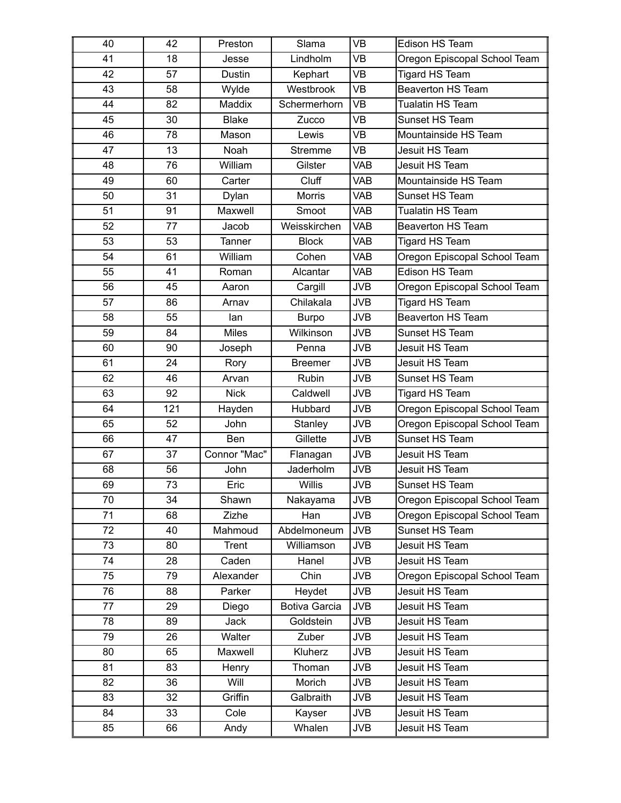| 40 | 42  | Preston      | Slama          | <b>VB</b>  | Edison HS Team               |
|----|-----|--------------|----------------|------------|------------------------------|
| 41 | 18  | Jesse        | Lindholm       | <b>VB</b>  | Oregon Episcopal School Team |
| 42 | 57  | Dustin       | Kephart        | VB         | <b>Tigard HS Team</b>        |
| 43 | 58  | Wylde        | Westbrook      | <b>VB</b>  | <b>Beaverton HS Team</b>     |
| 44 | 82  | Maddix       | Schermerhorn   | <b>VB</b>  | Tualatin HS Team             |
| 45 | 30  | <b>Blake</b> | Zucco          | <b>VB</b>  | Sunset HS Team               |
| 46 | 78  | Mason        | Lewis          | <b>VB</b>  | Mountainside HS Team         |
| 47 | 13  | Noah         | <b>Stremme</b> | <b>VB</b>  | Jesuit HS Team               |
| 48 | 76  | William      | Gilster        | <b>VAB</b> | Jesuit HS Team               |
| 49 | 60  | Carter       | Cluff          | <b>VAB</b> | Mountainside HS Team         |
| 50 | 31  | Dylan        | Morris         | <b>VAB</b> | Sunset HS Team               |
| 51 | 91  | Maxwell      | Smoot          | <b>VAB</b> | <b>Tualatin HS Team</b>      |
| 52 | 77  | Jacob        | Weisskirchen   | <b>VAB</b> | <b>Beaverton HS Team</b>     |
| 53 | 53  | Tanner       | <b>Block</b>   | <b>VAB</b> | <b>Tigard HS Team</b>        |
| 54 | 61  | William      | Cohen          | <b>VAB</b> | Oregon Episcopal School Team |
| 55 | 41  | Roman        | Alcantar       | <b>VAB</b> | Edison HS Team               |
| 56 | 45  | Aaron        | Cargill        | <b>JVB</b> | Oregon Episcopal School Team |
| 57 | 86  | Arnav        | Chilakala      | <b>JVB</b> | <b>Tigard HS Team</b>        |
| 58 | 55  | lan          | <b>Burpo</b>   | <b>JVB</b> | <b>Beaverton HS Team</b>     |
| 59 | 84  | <b>Miles</b> | Wilkinson      | <b>JVB</b> | Sunset HS Team               |
| 60 | 90  | Joseph       | Penna          | <b>JVB</b> | Jesuit HS Team               |
| 61 | 24  | Rory         | <b>Breemer</b> | <b>JVB</b> | Jesuit HS Team               |
| 62 | 46  | Arvan        | Rubin          | <b>JVB</b> | Sunset HS Team               |
| 63 | 92  | <b>Nick</b>  | Caldwell       | <b>JVB</b> | Tigard HS Team               |
| 64 | 121 | Hayden       | Hubbard        | <b>JVB</b> | Oregon Episcopal School Team |
| 65 | 52  | John         | Stanley        | <b>JVB</b> | Oregon Episcopal School Team |
| 66 | 47  | Ben          | Gillette       | <b>JVB</b> | Sunset HS Team               |
| 67 | 37  | Connor "Mac" | Flanagan       | <b>JVB</b> | Jesuit HS Team               |
| 68 | 56  | John         | Jaderholm      | <b>JVB</b> | Jesuit HS Team               |
| 69 | 73  | Eric         | Willis         | <b>JVB</b> | Sunset HS Team               |
| 70 | 34  | Shawn        | Nakayama       | <b>JVB</b> | Oregon Episcopal School Team |
| 71 | 68  | Zizhe        | Han            | <b>JVB</b> | Oregon Episcopal School Team |
| 72 | 40  | Mahmoud      | Abdelmoneum    | <b>JVB</b> | Sunset HS Team               |
| 73 | 80  | Trent        | Williamson     | <b>JVB</b> | Jesuit HS Team               |
| 74 | 28  | Caden        | Hanel          | JVB        | Jesuit HS Team               |
| 75 | 79  | Alexander    | Chin           | <b>JVB</b> | Oregon Episcopal School Team |
| 76 | 88  | Parker       | Heydet         | JVB        | Jesuit HS Team               |
| 77 | 29  | Diego        | Botiva Garcia  | <b>JVB</b> | Jesuit HS Team               |
| 78 | 89  | Jack         | Goldstein      | JVB        | Jesuit HS Team               |
| 79 | 26  | Walter       | Zuber          | <b>JVB</b> | Jesuit HS Team               |
| 80 | 65  | Maxwell      | Kluherz        | JVB        | Jesuit HS Team               |
| 81 | 83  | Henry        | Thoman         | <b>JVB</b> | Jesuit HS Team               |
| 82 | 36  | Will         | Morich         | JVB        | Jesuit HS Team               |
| 83 | 32  | Griffin      | Galbraith      | <b>JVB</b> | Jesuit HS Team               |
| 84 | 33  | Cole         | Kayser         | JVB        | Jesuit HS Team               |
| 85 | 66  | Andy         | Whalen         | JVB        | Jesuit HS Team               |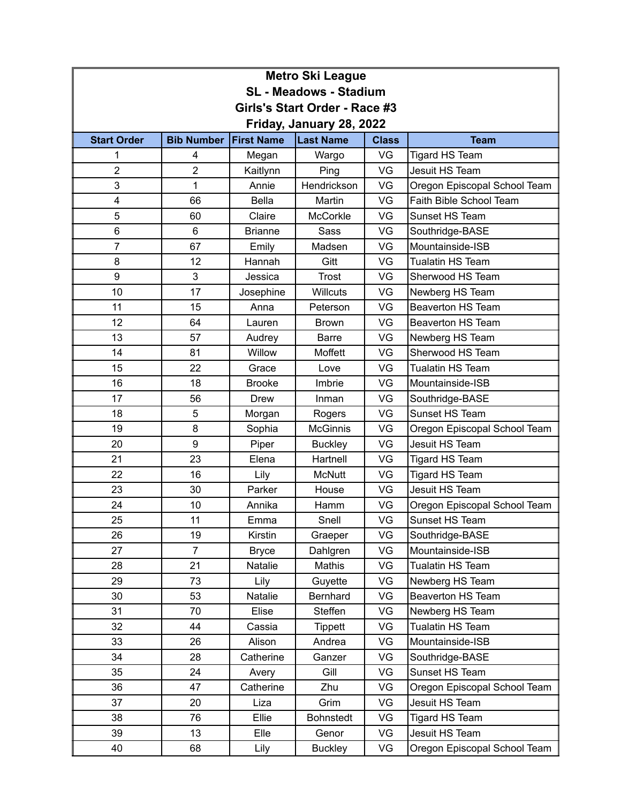| <b>Metro Ski League</b>       |                   |                   |                  |              |                              |  |  |
|-------------------------------|-------------------|-------------------|------------------|--------------|------------------------------|--|--|
| <b>SL - Meadows - Stadium</b> |                   |                   |                  |              |                              |  |  |
| Girls's Start Order - Race #3 |                   |                   |                  |              |                              |  |  |
| Friday, January 28, 2022      |                   |                   |                  |              |                              |  |  |
| <b>Start Order</b>            | <b>Bib Number</b> | <b>First Name</b> | <b>Last Name</b> | <b>Class</b> | <b>Team</b>                  |  |  |
| 1                             | 4                 | Megan             | Wargo            | VG           | Tigard HS Team               |  |  |
| $\overline{2}$                | $\overline{c}$    | Kaitlynn          | Ping             | VG           | Jesuit HS Team               |  |  |
| 3                             | 1                 | Annie             | Hendrickson      | VG           | Oregon Episcopal School Team |  |  |
| 4                             | 66                | <b>Bella</b>      | Martin           | VG           | Faith Bible School Team      |  |  |
| 5                             | 60                | Claire            | McCorkle         | VG           | Sunset HS Team               |  |  |
| 6                             | 6                 | <b>Brianne</b>    | Sass             | VG           | Southridge-BASE              |  |  |
| $\overline{7}$                | 67                | Emily             | Madsen           | VG           | Mountainside-ISB             |  |  |
| 8                             | 12                | Hannah            | Gitt             | VG           | <b>Tualatin HS Team</b>      |  |  |
| 9                             | 3                 | Jessica           | <b>Trost</b>     | VG           | Sherwood HS Team             |  |  |
| 10                            | 17                | Josephine         | <b>Willcuts</b>  | VG           | Newberg HS Team              |  |  |
| 11                            | 15                | Anna              | Peterson         | VG           | <b>Beaverton HS Team</b>     |  |  |
| 12                            | 64                | Lauren            | <b>Brown</b>     | VG           | <b>Beaverton HS Team</b>     |  |  |
| 13                            | 57                | Audrey            | <b>Barre</b>     | VG           | Newberg HS Team              |  |  |
| 14                            | 81                | Willow            | Moffett          | VG           | Sherwood HS Team             |  |  |
| 15                            | 22                | Grace             | Love             | VG           | Tualatin HS Team             |  |  |
| 16                            | 18                | <b>Brooke</b>     | Imbrie           | VG           | Mountainside-ISB             |  |  |
| 17                            | 56                | <b>Drew</b>       | Inman            | VG           | Southridge-BASE              |  |  |
| 18                            | 5                 | Morgan            | Rogers           | VG           | Sunset HS Team               |  |  |
| 19                            | 8                 | Sophia            | <b>McGinnis</b>  | VG           | Oregon Episcopal School Team |  |  |
| 20                            | 9                 | Piper             | <b>Buckley</b>   | VG           | Jesuit HS Team               |  |  |
| 21                            | 23                | Elena             | Hartnell         | VG           | Tigard HS Team               |  |  |
| 22                            | 16                | Lily              | <b>McNutt</b>    | VG           | Tigard HS Team               |  |  |
| 23                            | 30                | Parker            | House            | VG           | Jesuit HS Team               |  |  |
| 24                            | 10                | Annika            | Hamm             | VG           | Oregon Episcopal School Team |  |  |
| 25                            | 11                | Emma              | Snell            | VG           | Sunset HS Team               |  |  |
| 26                            | 19                | Kirstin           | Graeper          | VG           | Southridge-BASE              |  |  |
| 27                            | $\overline{7}$    | <b>Bryce</b>      | Dahlgren         | VG           | Mountainside-ISB             |  |  |
| 28                            | 21                | Natalie           | Mathis           | VG           | Tualatin HS Team             |  |  |
| 29                            | 73                | Lily              | Guyette          | VG           | Newberg HS Team              |  |  |
| 30                            | 53                | Natalie           | Bernhard         | VG           | Beaverton HS Team            |  |  |
| 31                            | 70                | Elise             | Steffen          | VG           | Newberg HS Team              |  |  |
| 32                            | 44                | Cassia            | <b>Tippett</b>   | VG           | Tualatin HS Team             |  |  |
| 33                            | 26                | Alison            | Andrea           | VG           | Mountainside-ISB             |  |  |
| 34                            | 28                | Catherine         | Ganzer           | VG           | Southridge-BASE              |  |  |
| 35                            | 24                | Avery             | Gill             | VG           | Sunset HS Team               |  |  |
| 36                            | 47                | Catherine         | Zhu              | VG           | Oregon Episcopal School Team |  |  |
| 37                            | 20                | Liza              | Grim             | VG           | Jesuit HS Team               |  |  |
| 38                            | 76                | Ellie             | <b>Bohnstedt</b> | VG           | Tigard HS Team               |  |  |
| 39                            | 13                | Elle              | Genor            | VG           | Jesuit HS Team               |  |  |
| 40                            | 68                | Lily              | Buckley          | VG           | Oregon Episcopal School Team |  |  |